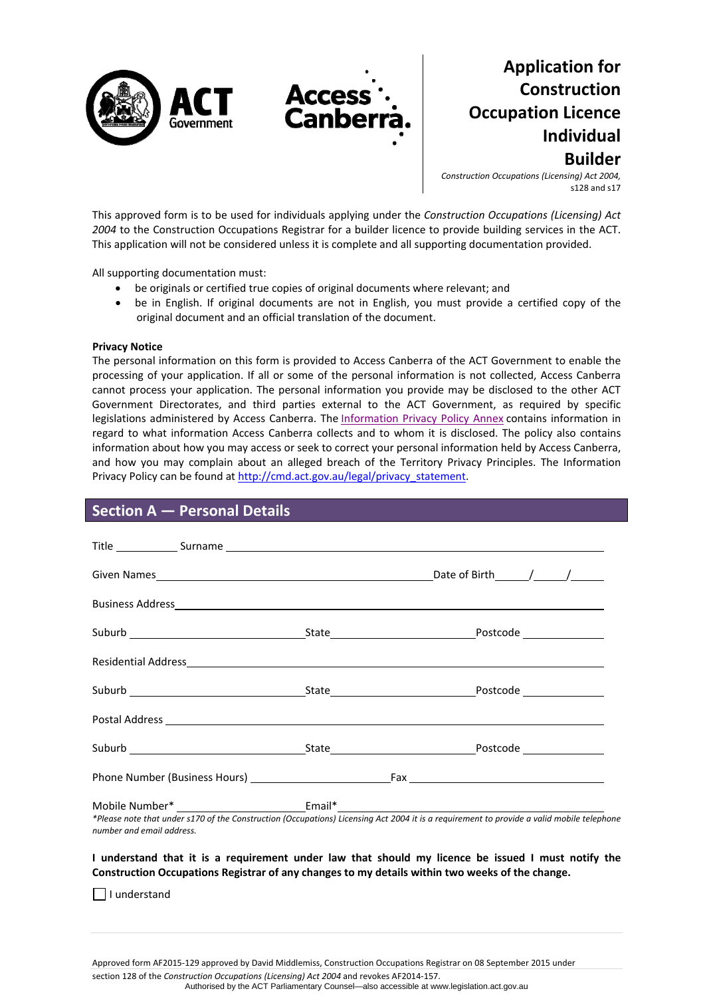

# **Application for Construction Occupation Licence Individual Builder**

*Construction Occupations (Licensing) Act 2004,* s128 and s17

This approved form is to be used for individuals applying under the *Construction Occupations (Licensing) Act 2004* to the Construction Occupations Registrar for a builder licence to provide building services in the ACT. This application will not be considered unless it is complete and all supporting documentation provided.

All supporting documentation must:

- be originals or certified true copies of original documents where relevant; and
- be in English. If original documents are not in English, you must provide a certified copy of the original document and an official translation of the document.

#### **Privacy Notice**

The personal information on this form is provided to Access Canberra of the ACT Government to enable the processing of your application. If all or some of the personal information is not collected, Access Canberra cannot process your application. The personal information you provide may be disclosed to the other ACT Government Directorates, and third parties external to the ACT Government, as required by specific legislations administered by Access Canberra. The [Information](http://www.environment.act.gov.au/__data/assets/pdf_file/0006/633741/Information-Privacy-Policy-Annex.pdf) Privacy Policy Annex contains information in regard to what information Access Canberra collects and to whom it is disclosed. The policy also contains information about how you may access or seek to correct your personal information held by Access Canberra, and how you may complain about an alleged breach of the Territory Privacy Principles. The Information Privacy Policy can be found at [http://cmd.act.gov.au/legal/privacy\\_statement.](http://cmd.act.gov.au/legal/privacy_statement)

### **Section A — Personal Details**

| Residential Address experience and the contract of the contract of the contract of the contract of the contract of the contract of the contract of the contract of the contract of the contract of the contract of the contrac |  |  |  |  |
|--------------------------------------------------------------------------------------------------------------------------------------------------------------------------------------------------------------------------------|--|--|--|--|
|                                                                                                                                                                                                                                |  |  |  |  |
|                                                                                                                                                                                                                                |  |  |  |  |
|                                                                                                                                                                                                                                |  |  |  |  |
|                                                                                                                                                                                                                                |  |  |  |  |
|                                                                                                                                                                                                                                |  |  |  |  |
| *Please note that under s170 of the Construction (Occupations) Licensing Act 2004 it is a requirement to provide a valid mobile telephone<br>number and email address.                                                         |  |  |  |  |
| I understand that it is a requirement under law that should my licence be issued I must notify the<br>Construction Occupations Registrar of any changes to my details within two weeks of the change.                          |  |  |  |  |
| understand                                                                                                                                                                                                                     |  |  |  |  |

Approved form AF2015‐129 approved by David Middlemiss, Construction Occupations Registrar on 08 September 2015 under

section 128 of the *Construction Occupations (Licensing) Act 2004* and revokes AF2014‐157.

Authorised by the ACT Parliamentary Counsel—also accessible at www.legislation.act.gov.au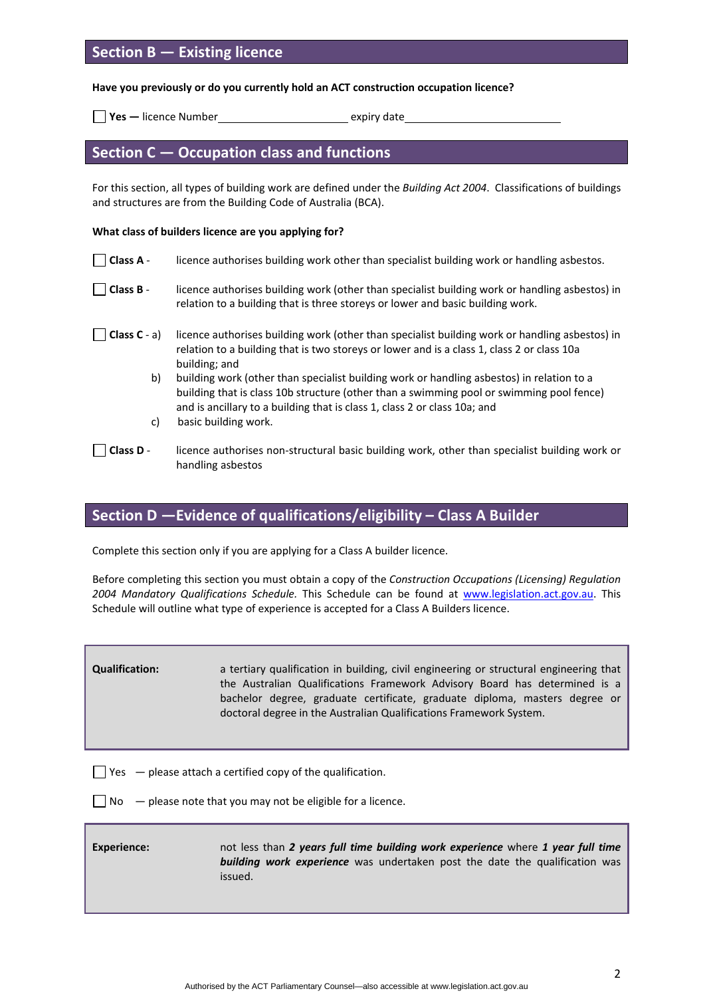# **Section B — Existing licence**

**Have you previously or do you currently hold an ACT construction occupation licence?**

**yes** — licence Number<br> **Expiry date** 

## **Section C — Occupation class and functions**

For this section, all types of building work are defined under the *Building Act 2004*. Classifications of buildings and structures are from the Building Code of Australia (BCA).

#### **What class of builders licence are you applying for?**

| Class A -           | licence authorises building work other than specialist building work or handling asbestos.                                                                                                                                                                         |
|---------------------|--------------------------------------------------------------------------------------------------------------------------------------------------------------------------------------------------------------------------------------------------------------------|
| Class B -           | licence authorises building work (other than specialist building work or handling asbestos) in<br>relation to a building that is three storeys or lower and basic building work.                                                                                   |
| $\Box$ Class C - a) | licence authorises building work (other than specialist building work or handling asbestos) in<br>relation to a building that is two storeys or lower and is a class 1, class 2 or class 10a<br>building; and                                                      |
| b)                  | building work (other than specialist building work or handling asbestos) in relation to a<br>building that is class 10b structure (other than a swimming pool or swimming pool fence)<br>and is ancillary to a building that is class 1, class 2 or class 10a; and |
| C)                  | basic building work.                                                                                                                                                                                                                                               |
| Class D -           | licence authorises non-structural basic building work, other than specialist building work or<br>handling asbestos                                                                                                                                                 |

# **Section D —Evidence of qualifications/eligibility – Class A Builder**

Complete this section only if you are applying for a Class A builder licence.

Before completing this section you must obtain a copy of the *Construction Occupations (Licensing) Regulation 2004 Mandatory Qualifications Schedule.* This Schedule can be found at [www.legislation.act.gov.au](http://www.legislation.act.gov.au/). This Schedule will outline what type of experience is accepted for a Class A Builders licence.

**Qualification:** a tertiary qualification in building, civil engineering or structural engineering that the Australian Qualifications Framework Advisory Board has determined is a bachelor degree, graduate certificate, graduate diploma, masters degree or doctoral degree in the Australian Qualifications Framework System.

 $\Box$  Yes  $-$  please attach a certified copy of the qualification.

 $\Box$  No  $-$  please note that you may not be eligible for a licence.

| <b>Experience:</b> | not less than 2 years full time building work experience where 1 year full time    |
|--------------------|------------------------------------------------------------------------------------|
|                    | <b>building work experience</b> was undertaken post the date the qualification was |
|                    | issued.                                                                            |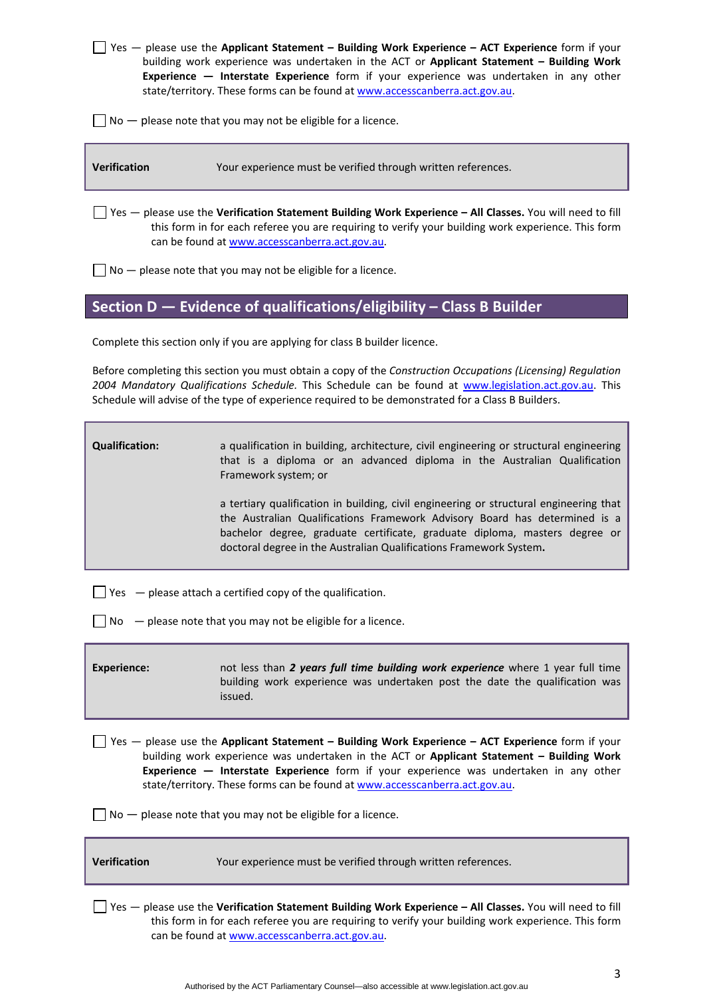|                                                                                                  | $\Box$ Yes — please use the Applicant Statement – Building Work Experience – ACT Experience form if your |  |  |  |  |
|--------------------------------------------------------------------------------------------------|----------------------------------------------------------------------------------------------------------|--|--|--|--|
| building work experience was undertaken in the ACT or <b>Applicant Statement – Building Work</b> |                                                                                                          |  |  |  |  |
|                                                                                                  | Experience - Interstate Experience form if your experience was undertaken in any other                   |  |  |  |  |
|                                                                                                  | state/territory. These forms can be found at www.accesscanberra.act.gov.au.                              |  |  |  |  |

 $\Box$  No  $-$  please note that you may not be eligible for a licence.

**Verification** Your experience must be verified through written references.

Yes — please use the **Verification Statement Building Work Experience – All Classes.** You will need to fill this form in for each referee you are requiring to verify your building work experience. This form can be found at [www.accesscanberra.act.gov.au](http://www.accesscanberra.act.gov.au/).

 $\Box$  No  $-$  please note that you may not be eligible for a licence.

### **Section D — Evidence of qualifications/eligibility – Class B Builder**

Complete this section only if you are applying for class B builder licence.

Before completing this section you must obtain a copy of the *Construction Occupations (Licensing) Regulation 2004 Mandatory Qualifications Schedule.* This Schedule can be found at [www.legislation.act.gov.au](http://www.legislation.act.gov.au/). This Schedule will advise of the type of experience required to be demonstrated for a Class B Builders.

a qualification in building, architecture, civil engineering or structural engineering that is a diploma or an advanced diploma in the Australian Qualification Framework system; or

a tertiary qualification in building, civil engineering or structural engineering that the Australian Qualifications Framework Advisory Board has determined is a bachelor degree, graduate certificate, graduate diploma, masters degree or doctoral degree in the Australian Qualifications Framework System**.**

 $\Box$  Yes  $-$  please attach a certified copy of the qualification.

 $\Box$  No  $\Box$  please note that you may not be eligible for a licence.

**Experience:**  not less than *2 years full time building work experience* where 1 year full time building work experience was undertaken post the date the qualification was issued.

Yes — please use the **Applicant Statement – Building Work Experience – ACT Experience** form if your building work experience was undertaken in the ACT or **Applicant Statement – Building Work Experience — Interstate Experience** form if your experience was undertaken in any other state/territory. These forms can be found at [www.accesscanberra.act.gov.au.](http://www.accesscanberra.act.gov.au/)

 $\Box$  No  $-$  please note that you may not be eligible for a licence.

**Verification** Your experience must be verified through written references.

Yes — please use the **Verification Statement Building Work Experience – All Classes.** You will need to fill this form in for each referee you are requiring to verify your building work experience. This form can be found at [www.accesscanberra.act.gov.au](http://www.accesscanberra.act.gov.au/).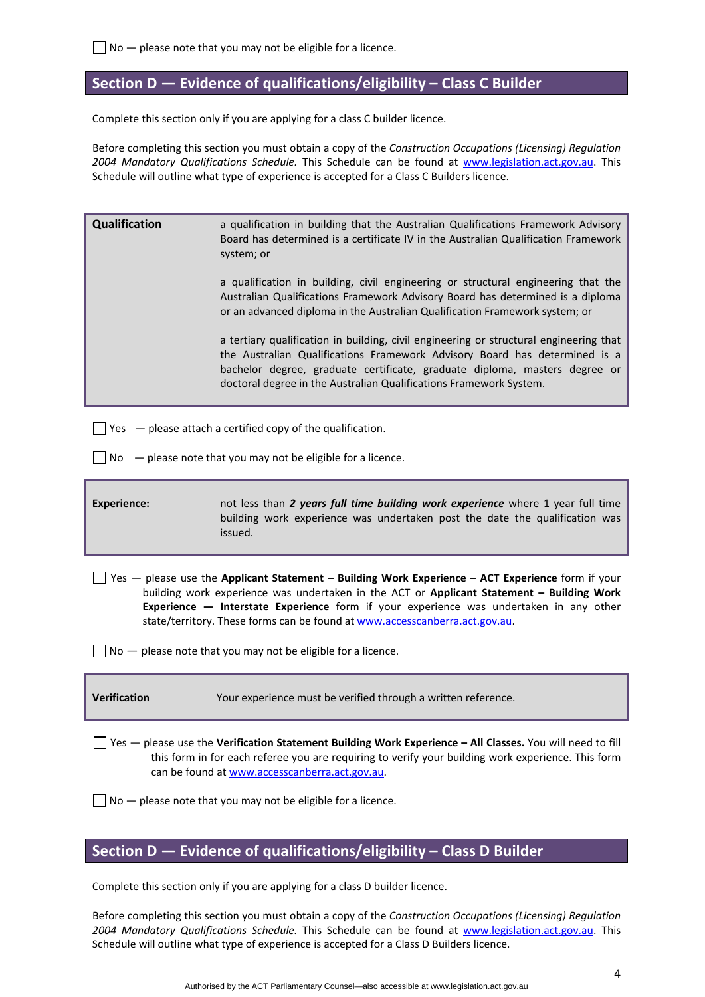### **Section D — Evidence of qualifications/eligibility – Class C Builder**

Complete this section only if you are applying for a class C builder licence.

Before completing this section you must obtain a copy of the *Construction Occupations (Licensing) Regulation 2004 Mandatory Qualifications Schedule.* This Schedule can be found at [www.legislation.act.gov.au](http://www.legislation.act.gov.au/). This Schedule will outline what type of experience is accepted for a Class C Builders licence.

| Qualification                                                                                                                                                                                                                                                                                                                                                                                                                               | a qualification in building that the Australian Qualifications Framework Advisory<br>Board has determined is a certificate IV in the Australian Qualification Framework<br>system; or<br>a qualification in building, civil engineering or structural engineering that the<br>Australian Qualifications Framework Advisory Board has determined is a diploma<br>or an advanced diploma in the Australian Qualification Framework system; or<br>a tertiary qualification in building, civil engineering or structural engineering that<br>the Australian Qualifications Framework Advisory Board has determined is a<br>bachelor degree, graduate certificate, graduate diploma, masters degree or |  |  |  |  |
|---------------------------------------------------------------------------------------------------------------------------------------------------------------------------------------------------------------------------------------------------------------------------------------------------------------------------------------------------------------------------------------------------------------------------------------------|---------------------------------------------------------------------------------------------------------------------------------------------------------------------------------------------------------------------------------------------------------------------------------------------------------------------------------------------------------------------------------------------------------------------------------------------------------------------------------------------------------------------------------------------------------------------------------------------------------------------------------------------------------------------------------------------------|--|--|--|--|
|                                                                                                                                                                                                                                                                                                                                                                                                                                             | doctoral degree in the Australian Qualifications Framework System.                                                                                                                                                                                                                                                                                                                                                                                                                                                                                                                                                                                                                                |  |  |  |  |
| $\vert$ Yes $\vert$ - please attach a certified copy of the qualification.                                                                                                                                                                                                                                                                                                                                                                  |                                                                                                                                                                                                                                                                                                                                                                                                                                                                                                                                                                                                                                                                                                   |  |  |  |  |
|                                                                                                                                                                                                                                                                                                                                                                                                                                             | No $-$ please note that you may not be eligible for a licence.                                                                                                                                                                                                                                                                                                                                                                                                                                                                                                                                                                                                                                    |  |  |  |  |
| <b>Experience:</b>                                                                                                                                                                                                                                                                                                                                                                                                                          | not less than 2 years full time building work experience where 1 year full time<br>building work experience was undertaken post the date the qualification was<br>issued.                                                                                                                                                                                                                                                                                                                                                                                                                                                                                                                         |  |  |  |  |
| Ses $-$ please use the Applicant Statement - Building Work Experience - ACT Experience form if your<br>building work experience was undertaken in the ACT or Applicant Statement - Building Work<br>Experience - Interstate Experience form if your experience was undertaken in any other<br>state/territory. These forms can be found at www.accesscanberra.act.gov.au.<br>$No$ — please note that you may not be eligible for a licence. |                                                                                                                                                                                                                                                                                                                                                                                                                                                                                                                                                                                                                                                                                                   |  |  |  |  |
|                                                                                                                                                                                                                                                                                                                                                                                                                                             |                                                                                                                                                                                                                                                                                                                                                                                                                                                                                                                                                                                                                                                                                                   |  |  |  |  |
| Verification                                                                                                                                                                                                                                                                                                                                                                                                                                | Your experience must be verified through a written reference.                                                                                                                                                                                                                                                                                                                                                                                                                                                                                                                                                                                                                                     |  |  |  |  |
| $\frac{1}{2}$ Yes $-$ please use the Verification Statement Building Work Experience - All Classes. You will need to fill<br>this form in for each referee you are requiring to verify your building work experience. This form<br>can be found at www.accesscanberra.act.gov.au.                                                                                                                                                           |                                                                                                                                                                                                                                                                                                                                                                                                                                                                                                                                                                                                                                                                                                   |  |  |  |  |
| $No$ — please note that you may not be eligible for a licence.                                                                                                                                                                                                                                                                                                                                                                              |                                                                                                                                                                                                                                                                                                                                                                                                                                                                                                                                                                                                                                                                                                   |  |  |  |  |

# **Section D — Evidence of qualifications/eligibility – Class D Builder**

Complete this section only if you are applying for a class D builder licence.

Before completing this section you must obtain a copy of the *Construction Occupations (Licensing) Regulation 2004 Mandatory Qualifications Schedule.* This Schedule can be found at [www.legislation.act.gov.au](http://www.legislation.act.gov.au/). This Schedule will outline what type of experience is accepted for a Class D Builders licence.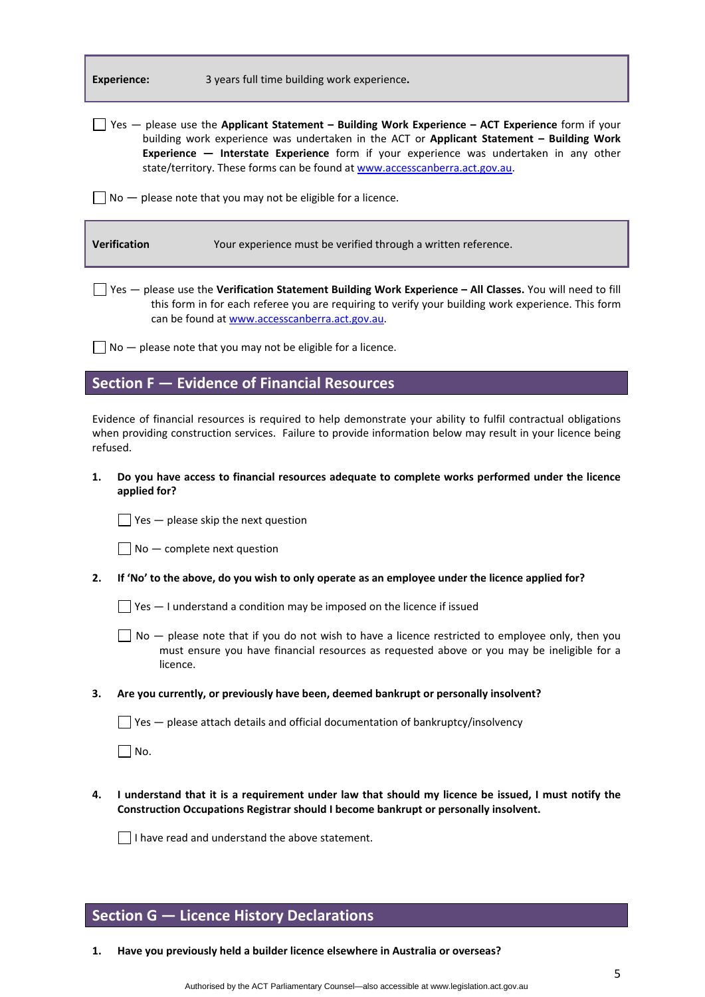| Experience: |  |  |  |  |
|-------------|--|--|--|--|
|             |  |  |  |  |

Yes — please use the **Applicant Statement – Building Work Experience – ACT Experience** form if your building work experience was undertaken in the ACT or **Applicant Statement – Building Work Experience — Interstate Experience** form if your experience was undertaken in any other state/territory. These forms can be found at [www.accesscanberra.act.gov.au.](http://www.accesscanberra.act.gov.au/)

 $\Box$  No  $-$  please note that you may not be eligible for a licence.

| Verification | Your experience must be verified through a written reference. |
|--------------|---------------------------------------------------------------|
|              |                                                               |

Yes — please use the **Verification Statement Building Work Experience – All Classes.** You will need to fill this form in for each referee you are requiring to verify your building work experience. This form can be found at [www.accesscanberra.act.gov.au](http://www.accesscanberra.act.gov.au/).

 $\Box$  No  $-$  please note that you may not be eligible for a licence.

### **Section F — Evidence of Financial Resources**

Evidence of financial resources is required to help demonstrate your ability to fulfil contractual obligations when providing construction services. Failure to provide information below may result in your licence being refused.

**1. Do you have access to financial resources adequate to complete works performed under the licence applied for?** 

 $\Box$  Yes  $-$  please skip the next question

 $\Box$  No  $-$  complete next question

2. If 'No' to the above, do you wish to only operate as an employee under the licence applied for?

 $\Box$  Yes  $-$  I understand a condition may be imposed on the licence if issued

- $\Box$  No  $-$  please note that if you do not wish to have a licence restricted to employee only, then you must ensure you have financial resources as requested above or you may be ineligible for a licence.
- **3. Are you currently, or previously have been, deemed bankrupt or personally insolvent?**

 $\Box$  Yes  $-$  please attach details and official documentation of bankruptcy/insolvency

 $\Box$  No.

4. I understand that it is a requirement under law that should my licence be issued, I must notify the **Construction Occupations Registrar should I become bankrupt or personally insolvent.** 

 $\Box$  I have read and understand the above statement.

### **Section G — Licence History Declarations**

**1. Have you previously held a builder licence elsewhere in Australia or overseas?**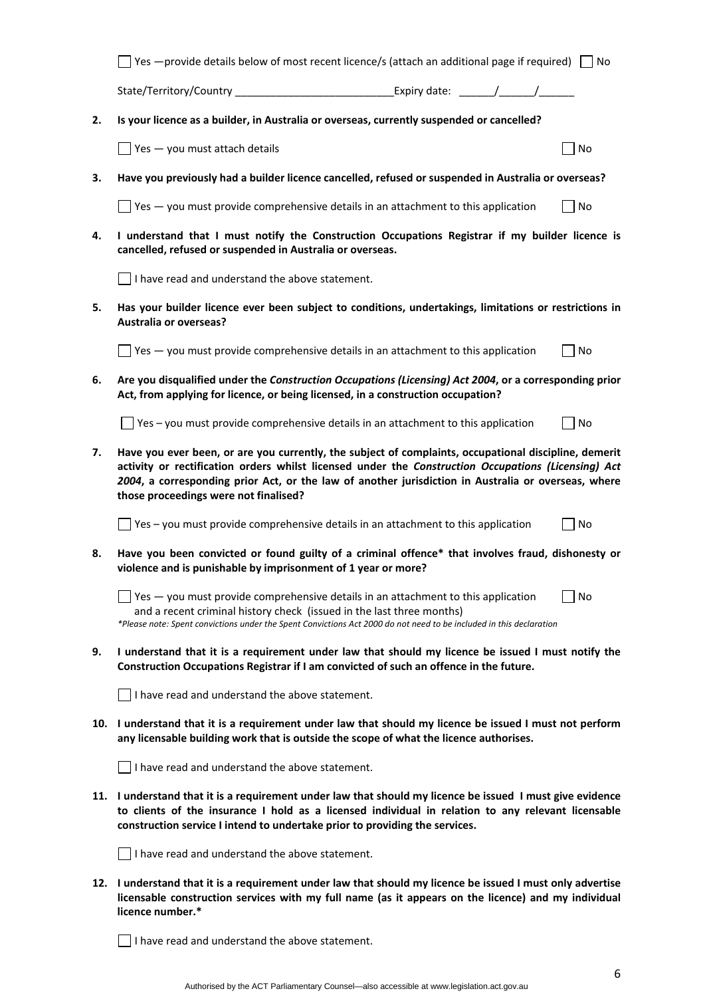|    | Yes - provide details below of most recent licence/s (attach an additional page if required)                                                                                                                                                                                                                                                                 |  |  | l INo |  |  |
|----|--------------------------------------------------------------------------------------------------------------------------------------------------------------------------------------------------------------------------------------------------------------------------------------------------------------------------------------------------------------|--|--|-------|--|--|
|    | State/Territory/Country _________________________________Expiry date: _______/_______/                                                                                                                                                                                                                                                                       |  |  |       |  |  |
| 2. | Is your licence as a builder, in Australia or overseas, currently suspended or cancelled?                                                                                                                                                                                                                                                                    |  |  |       |  |  |
|    | $\sqrt{ }$ Yes $-$ you must attach details                                                                                                                                                                                                                                                                                                                   |  |  | No    |  |  |
| з. | Have you previously had a builder licence cancelled, refused or suspended in Australia or overseas?                                                                                                                                                                                                                                                          |  |  |       |  |  |
|    | $\Box$ Yes $-$ you must provide comprehensive details in an attachment to this application                                                                                                                                                                                                                                                                   |  |  | No    |  |  |
| 4. | I understand that I must notify the Construction Occupations Registrar if my builder licence is<br>cancelled, refused or suspended in Australia or overseas.                                                                                                                                                                                                 |  |  |       |  |  |
|    | $\Box$ I have read and understand the above statement.                                                                                                                                                                                                                                                                                                       |  |  |       |  |  |
| 5. | Has your builder licence ever been subject to conditions, undertakings, limitations or restrictions in<br><b>Australia or overseas?</b>                                                                                                                                                                                                                      |  |  |       |  |  |
|    | $\sqrt{ }$ Yes $-$ you must provide comprehensive details in an attachment to this application                                                                                                                                                                                                                                                               |  |  | No    |  |  |
| 6. | Are you disqualified under the Construction Occupations (Licensing) Act 2004, or a corresponding prior<br>Act, from applying for licence, or being licensed, in a construction occupation?                                                                                                                                                                   |  |  |       |  |  |
|    | $\Box$ Yes – you must provide comprehensive details in an attachment to this application                                                                                                                                                                                                                                                                     |  |  | No    |  |  |
| 7. | Have you ever been, or are you currently, the subject of complaints, occupational discipline, demerit<br>activity or rectification orders whilst licensed under the Construction Occupations (Licensing) Act<br>2004, a corresponding prior Act, or the law of another jurisdiction in Australia or overseas, where<br>those proceedings were not finalised? |  |  |       |  |  |
|    | Yes - you must provide comprehensive details in an attachment to this application                                                                                                                                                                                                                                                                            |  |  | No    |  |  |
| 8. | Have you been convicted or found guilty of a criminal offence* that involves fraud, dishonesty or<br>violence and is punishable by imprisonment of 1 year or more?                                                                                                                                                                                           |  |  |       |  |  |
|    | Yes - you must provide comprehensive details in an attachment to this application<br>and a recent criminal history check (issued in the last three months)<br>*Please note: Spent convictions under the Spent Convictions Act 2000 do not need to be included in this declaration                                                                            |  |  | No    |  |  |
| 9. | I understand that it is a requirement under law that should my licence be issued I must notify the<br>Construction Occupations Registrar if I am convicted of such an offence in the future.                                                                                                                                                                 |  |  |       |  |  |
|    | I have read and understand the above statement.                                                                                                                                                                                                                                                                                                              |  |  |       |  |  |
|    | 10. I understand that it is a requirement under law that should my licence be issued I must not perform<br>any licensable building work that is outside the scope of what the licence authorises.                                                                                                                                                            |  |  |       |  |  |
|    | I have read and understand the above statement.                                                                                                                                                                                                                                                                                                              |  |  |       |  |  |
|    | 11. I understand that it is a requirement under law that should my licence be issued I must give evidence<br>to clients of the insurance I hold as a licensed individual in relation to any relevant licensable<br>construction service I intend to undertake prior to providing the services.                                                               |  |  |       |  |  |
|    | $\vert \ \vert$ I have read and understand the above statement.                                                                                                                                                                                                                                                                                              |  |  |       |  |  |
|    | 12. I understand that it is a requirement under law that should my licence be issued I must only advertise<br>licensable construction services with my full name (as it appears on the licence) and my individual<br>licence number.*                                                                                                                        |  |  |       |  |  |
|    |                                                                                                                                                                                                                                                                                                                                                              |  |  |       |  |  |

 $\Box$  I have read and understand the above statement.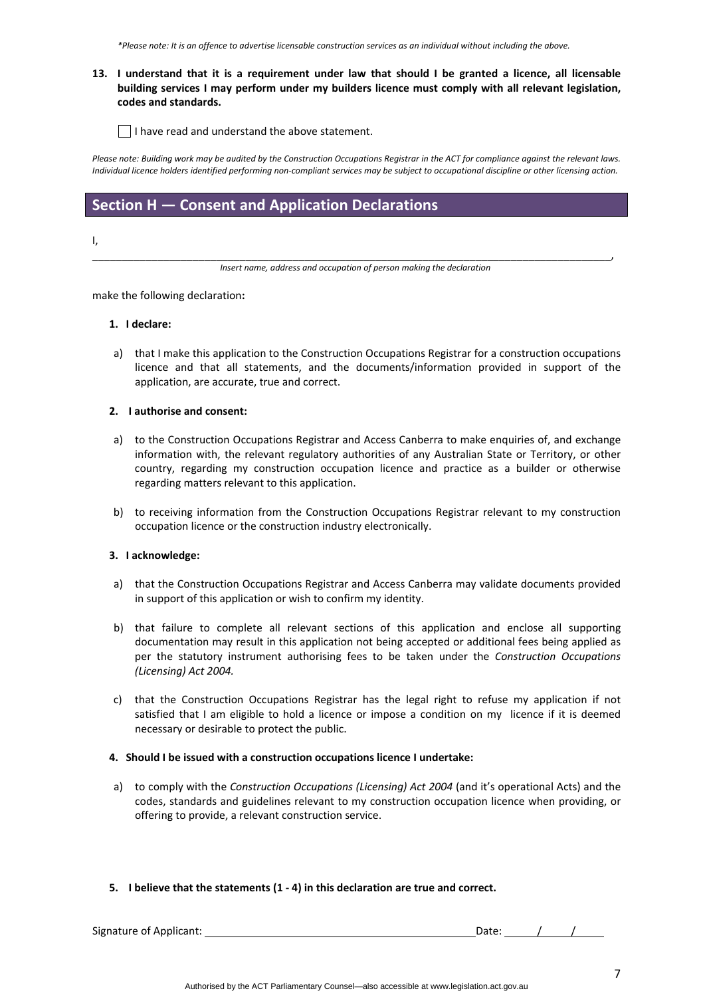\*Please note: It is an offence to advertise licensable construction services as an individual without including the above.

### 13. I understand that it is a requirement under law that should I be granted a licence, all licensable **building services I may perform under my builders licence must comply with all relevant legislation, codes and standards.**

 $\vert \ \vert$  I have read and understand the above statement.

Please note: Building work may be audited by the Construction Occupations Registrar in the ACT for compliance against the relevant laws. Individual licence holders identified performing non-compliant services may be subject to occupational discipline or other licensing action.

# **Section H — Consent and Application Declarations**

I,

\_\_\_\_\_\_\_\_\_\_\_\_\_\_\_\_\_\_\_\_\_\_\_\_\_\_\_\_\_\_\_\_\_\_\_\_\_\_\_\_\_\_\_\_\_\_\_\_\_\_\_\_\_\_\_\_\_\_\_\_\_\_\_\_\_\_\_\_\_\_\_\_\_\_\_\_\_\_\_\_\_\_\_\_\_\_\_\_, *Insert name, address and occupation of person making the declaration*

make the following declaration**:**

#### **1. I declare:**

a) that I make this application to the Construction Occupations Registrar for a construction occupations licence and that all statements, and the documents/information provided in support of the application, are accurate, true and correct.

#### **2. I authorise and consent:**

- a) to the Construction Occupations Registrar and Access Canberra to make enquiries of, and exchange information with, the relevant regulatory authorities of any Australian State or Territory, or other country, regarding my construction occupation licence and practice as a builder or otherwise regarding matters relevant to this application.
- b) to receiving information from the Construction Occupations Registrar relevant to my construction occupation licence or the construction industry electronically.

#### **3. I acknowledge:**

- a) that the Construction Occupations Registrar and Access Canberra may validate documents provided in support of this application or wish to confirm my identity.
- b) that failure to complete all relevant sections of this application and enclose all supporting documentation may result in this application not being accepted or additional fees being applied as per the statutory instrument authorising fees to be taken under the *Construction Occupations (Licensing) Act 2004.*
- c) that the Construction Occupations Registrar has the legal right to refuse my application if not satisfied that I am eligible to hold a licence or impose a condition on my licence if it is deemed necessary or desirable to protect the public.

#### **4. Should I be issued with a construction occupations licence I undertake:**

- a) to comply with the *Construction Occupations (Licensing) Act 2004* (and it's operational Acts) and the codes, standards and guidelines relevant to my construction occupation licence when providing, or offering to provide, a relevant construction service.
- **5. I believe that the statements (1 ‐ 4) in this declaration are true and correct.**